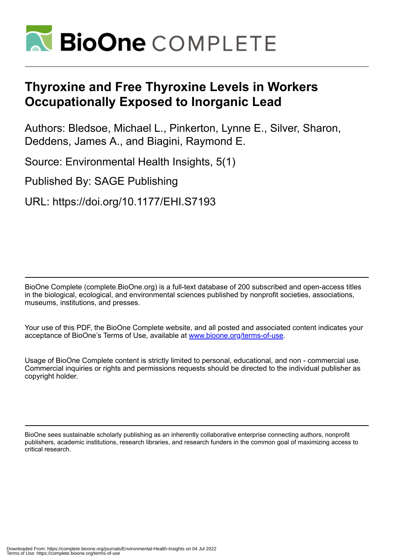

# **Thyroxine and Free Thyroxine Levels in Workers Occupationally Exposed to Inorganic Lead**

Authors: Bledsoe, Michael L., Pinkerton, Lynne E., Silver, Sharon, Deddens, James A., and Biagini, Raymond E.

Source: Environmental Health Insights, 5(1)

Published By: SAGE Publishing

URL: https://doi.org/10.1177/EHI.S7193

BioOne Complete (complete.BioOne.org) is a full-text database of 200 subscribed and open-access titles in the biological, ecological, and environmental sciences published by nonprofit societies, associations, museums, institutions, and presses.

Your use of this PDF, the BioOne Complete website, and all posted and associated content indicates your acceptance of BioOne's Terms of Use, available at www.bioone.org/terms-of-use.

Usage of BioOne Complete content is strictly limited to personal, educational, and non - commercial use. Commercial inquiries or rights and permissions requests should be directed to the individual publisher as copyright holder.

BioOne sees sustainable scholarly publishing as an inherently collaborative enterprise connecting authors, nonprofit publishers, academic institutions, research libraries, and research funders in the common goal of maximizing access to critical research.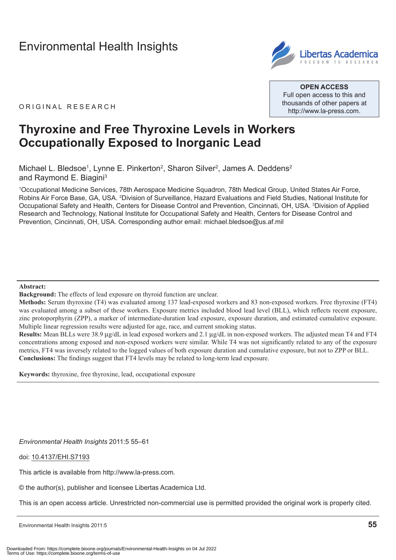# [Environmental Health Insights](http://www.la-press.com/environmental-health-insights-journal-j110)



**Open Access** Full open access to this and thousands of other papers at <http://www.la-press.com>.

ORIGINAL RESEARCH

## **Thyroxine and Free Thyroxine Levels in Workers Occupationally Exposed to Inorganic Lead**

Michael L. Bledsoe<sup>1</sup>, Lynne E. Pinkerton<sup>2</sup>, Sharon Silver<sup>2</sup>, James A. Deddens<sup>2</sup> and Raymond E. Biagini<sup>3</sup>

1 Occupational Medicine Services, 78th Aerospace Medicine Squadron, 78th Medical Group, United States Air Force, Robins Air Force Base, GA, USA. <sup>2</sup>Division of Surveillance, Hazard Evaluations and Field Studies, National Institute for Occupational Safety and Health, Centers for Disease Control and Prevention, Cincinnati, OH, USA. <sup>3</sup>Division of Applied Research and Technology, National Institute for Occupational Safety and Health, Centers for Disease Control and Prevention, Cincinnati, OH, USA. Corresponding author email: [michael.bledsoe@us.af.mil](mailto:michael.bledsoe@us.af.mil)

#### **Abstract:**

**Background:** The effects of lead exposure on thyroid function are unclear.

**Methods:** Serum thyroxine (T4) was evaluated among 137 lead-exposed workers and 83 non-exposed workers. Free thyroxine (FT4) was evaluated among a subset of these workers. Exposure metrics included blood lead level (BLL), which reflects recent exposure, zinc protoporphyrin (ZPP), a marker of intermediate-duration lead exposure, exposure duration, and estimated cumulative exposure. Multiple linear regression results were adjusted for age, race, and current smoking status.

**Results:** Mean BLLs were 38.9 µg/dL in lead exposed workers and 2.1 µg/dL in non-exposed workers. The adjusted mean T4 and FT4 concentrations among exposed and non-exposed workers were similar. While T4 was not significantly related to any of the exposure metrics, FT4 was inversely related to the logged values of both exposure duration and cumulative exposure, but not to ZPP or BLL. **Conclusions:** The findings suggest that FT4 levels may be related to long-term lead exposure.

**Keywords:** thyroxine, free thyroxine, lead, occupational exposure

*Environmental Health Insights* 2011:5 55–61

doi: [10.4137/EHI.S7193](http://dx.doi.org/10.4137/EHI.S7193)

This article is available from [http://www.la-press.com.](http://www.la-press.com)

© the author(s), publisher and licensee Libertas Academica Ltd.

This is an open access article. Unrestricted non-commercial use is permitted provided the original work is properly cited.

Environmental Health Insights 2011:5 **55**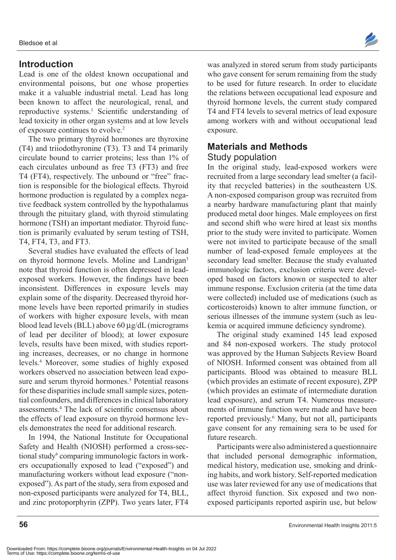### **Introduction**

Lead is one of the oldest known occupational and environmental poisons, but one whose properties make it a valuable industrial metal. Lead has long been known to affect the neurological, renal, and reproductive systems.<sup>1</sup> Scientific understanding of lead toxicity in other organ systems and at low levels of exposure continues to evolve.2

The two primary thyroid hormones are thyroxine (T4) and triiodothyronine (T3). T3 and T4 primarily circulate bound to carrier proteins; less than 1% of each circulates unbound as free T3 (FT3) and free T4 (FT4), respectively. The unbound or "free" fraction is responsible for the biological effects. Thyroid hormone production is regulated by a complex negative feedback system controlled by the hypothalamus through the pituitary gland, with thyroid stimulating hormone (TSH) an important mediator. Thyroid function is primarily evaluated by serum testing of TSH, T4, FT4, T3, and FT3.

Several studies have evaluated the effects of lead on thyroid hormone levels. Moline and Landrigan<sup>3</sup> note that thyroid function is often depressed in leadexposed workers. However, the findings have been inconsistent. Differences in exposure levels may explain some of the disparity. Decreased thyroid hormone levels have been reported primarily in studies of workers with higher exposure levels, with mean blood lead levels (BLL) above 60 µg/dL (micrograms of lead per deciliter of blood); at lower exposure levels, results have been mixed, with studies reporting increases, decreases, or no change in hormone levels.4 Moreover, some studies of highly exposed workers observed no association between lead exposure and serum thyroid hormones.<sup>5</sup> Potential reasons for these disparities include small sample sizes, potential confounders, and differences in clinical laboratory assessments.4 The lack of scientific consensus about the effects of lead exposure on thyroid hormone levels demonstrates the need for additional research.

In 1994, the National Institute for Occupational Safety and Health (NIOSH) performed a cross-sectional study<sup>6</sup> comparing immunologic factors in workers occupationally exposed to lead ("exposed") and manufacturing workers without lead exposure ("nonexposed"). As part of the study, sera from exposed and non-exposed participants were analyzed for T4, BLL, and zinc protoporphyrin (ZPP). Two years later, FT4

was analyzed in stored serum from study participants who gave consent for serum remaining from the study to be used for future research. In order to elucidate the relations between occupational lead exposure and thyroid hormone levels, the current study compared T4 and FT4 levels to several metrics of lead exposure among workers with and without occupational lead exposure.

### **Materials and Methods** Study population

In the original study, lead-exposed workers were recruited from a large secondary lead smelter (a facility that recycled batteries) in the southeastern US. A non-exposed comparison group was recruited from a nearby hardware manufacturing plant that mainly produced metal door hinges. Male employees on first and second shift who were hired at least six months prior to the study were invited to participate. Women were not invited to participate because of the small number of lead-exposed female employees at the secondary lead smelter. Because the study evaluated immunologic factors, exclusion criteria were developed based on factors known or suspected to alter immune response. Exclusion criteria (at the time data were collected) included use of medications (such as corticosteroids) known to alter immune function, or serious illnesses of the immune system (such as leukemia or acquired immune deficiency syndrome).

The original study examined 145 lead exposed and 84 non-exposed workers. The study protocol was approved by the Human Subjects Review Board of NIOSH. Informed consent was obtained from all participants. Blood was obtained to measure BLL (which provides an estimate of recent exposure), ZPP (which provides an estimate of intermediate duration lead exposure), and serum T4. Numerous measurements of immune function were made and have been reported previously.<sup>6</sup> Many, but not all, participants gave consent for any remaining sera to be used for future research.

Participants were also administered a questionnaire that included personal demographic information, medical history, medication use, smoking and drinking habits, and work history. Self-reported medication use was later reviewed for any use of medications that affect thyroid function. Six exposed and two nonexposed participants reported aspirin use, but below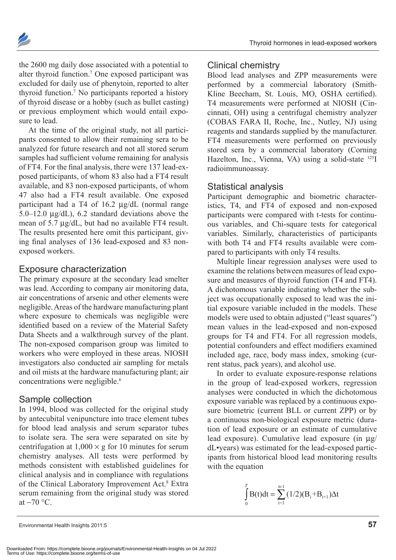

the 2600 mg daily dose associated with a potential to alter thyroid function.7 One exposed participant was excluded for daily use of phenytoin, reported to alter thyroid function.7 No participants reported a history of thyroid disease or a hobby (such as bullet casting) or previous employment which would entail exposure to lead.

At the time of the original study, not all participants consented to allow their remaining sera to be analyzed for future research and not all stored serum samples had sufficient volume remaining for analysis of FT4. For the final analysis, there were 137 lead-exposed participants, of whom 83 also had a FT4 result available, and 83 non-exposed participants, of whom 47 also had a FT4 result available. One exposed participant had a T4 of 16.2 µg/dL (normal range 5.0–12.0 µg/dL), 6.2 standard deviations above the mean of 5.7 µg/dL, but had no available FT4 result. The results presented here omit this participant, giving final analyses of 136 lead-exposed and 83 nonexposed workers.

#### Exposure characterization

The primary exposure at the secondary lead smelter was lead. According to company air monitoring data, air concentrations of arsenic and other elements were negligible. Areas of the hardware manufacturing plant where exposure to chemicals was negligible were identified based on a review of the Material Safety Data Sheets and a walkthrough survey of the plant. The non-exposed comparison group was limited to workers who were employed in these areas. NIOSH investigators also conducted air sampling for metals and oil mists at the hardware manufacturing plant; air concentrations were negligible.<sup>6</sup>

### Sample collection

In 1994, blood was collected for the original study by antecubital venipuncture into trace element tubes for blood lead analysis and serum separator tubes to isolate sera. The sera were separated on site by centrifugation at  $1,000 \times g$  for 10 minutes for serum chemistry analyses. All tests were performed by methods consistent with established guidelines for clinical analysis and in compliance with regulations of the Clinical Laboratory Improvement Act.<sup>8</sup> Extra serum remaining from the original study was stored at  $-70$  °C.

#### Clinical chemistry

Blood lead analyses and ZPP measurements were performed by a commercial laboratory (Smith-Kline Beecham, St. Louis, MO, OSHA certified). T4 measurements were performed at NIOSH (Cincinnati, OH) using a centrifugal chemistry analyzer (COBAS FARA II, Roche, Inc., Nutley, NJ) using reagents and standards supplied by the manufacturer. FT4 measurements were performed on previously stored sera by a commercial laboratory (Corning Hazelton, Inc., Vienna, VA) using a solid-state <sup>125</sup>I radioimmunoassay.

#### Statistical analysis

Participant demographic and biometric characteristics, T4, and FT4 of exposed and non-exposed participants were compared with t-tests for continuous variables, and Chi-square tests for categorical variables. Similarly, characteristics of participants with both T4 and FT4 results available were compared to participants with only T4 results.

Multiple linear regression analyses were used to examine the relations between measures of lead exposure and measures of thyroid function (T4 and FT4). A dichotomous variable indicating whether the subject was occupationally exposed to lead was the initial exposure variable included in the models. These models were used to obtain adjusted ("least squares") mean values in the lead-exposed and non-exposed groups for T4 and FT4. For all regression models, potential confounders and effect modifiers examined included age, race, body mass index, smoking (current status, pack years), and alcohol use.

In order to evaluate exposure-response relations in the group of lead-exposed workers, regression analyses were conducted in which the dichotomous exposure variable was replaced by a continuous exposure biometric (current BLL or current ZPP) or by a continuous non-biological exposure metric (duration of lead exposure or an estimate of cumulative lead exposure). Cumulative lead exposure (in µg/ dL•years) was estimated for the lead-exposed participants from historical blood lead monitoring results with the equation

$$
\int_{0}^{T}B(t)dt = \sum_{i=1}^{n-1}(1/2)(B_{i}+B_{i+1})\Delta t
$$

Environmental Health Insights 2011:5 **57**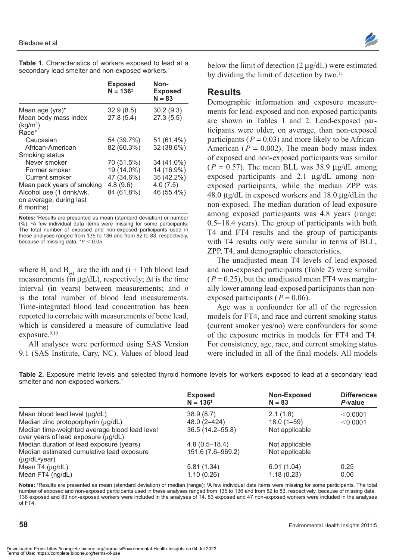|                                                                  | <b>Exposed</b><br>$N = 136^{+}$ | Non-<br><b>Exposed</b><br>$N = 83$ |
|------------------------------------------------------------------|---------------------------------|------------------------------------|
| Mean age (yrs)*                                                  | 32.9(8.5)                       | 30.2(9.3)                          |
| Mean body mass index<br>(kg/m <sup>2</sup> )<br>Race*            | 27.8 (5.4)                      | 27.3(5.5)                          |
| Caucasian                                                        | 54 (39.7%)                      | 51 (61.4%)                         |
| African-American                                                 | 82 (60.3%)                      | 32 (38.6%)                         |
| Smoking status                                                   |                                 |                                    |
| Never smoker                                                     | 70 (51.5%)                      | 34 (41.0%)                         |
| Former smoker                                                    | 19 (14.0%)                      | 14 (16.9%)                         |
| Current smoker                                                   | 47 (34.6%)                      | 35 (42.2%)                         |
| Mean pack years of smoking                                       | 4.8(9.6)                        | 4.0(7.5)                           |
| Alcohol use (1 drink/wk,<br>on average, during last<br>6 months) | 84 (61.8%)                      | 46 (55.4%)                         |

**Table 1.** Characteristics of workers exposed to lead at a secondary lead smelter and non-exposed workers.†

**Notes:** †Results are presented as mean (standard deviation) or number (%); ‡ A few individual data items were missing for some participants. The total number of exposed and non-exposed participants used in these analyses ranged from 135 to 136 and from 82 to 83, respectively, because of missing data.  $*P < 0.05$ .

where  $B_i$  and  $B_{i+1}$  are the ith and  $(i + 1)$ th blood lead measurements (in µg/dL), respectively; ∆t is the time interval (in years) between measurements; and *n* is the total number of blood lead measurements. Time-integrated blood lead concentration has been reported to correlate with measurements of bone lead, which is considered a measure of cumulative lead exposure.9,10

All analyses were performed using SAS Version 9.1 (SAS Institute, Cary, NC). Values of blood lead



below the limit of detection  $(2 \mu g/dL)$  were estimated by dividing the limit of detection by two. $11$ 

#### **Results**

Demographic information and exposure measurements for lead-exposed and non-exposed participants are shown in Tables 1 and 2. Lead-exposed participants were older, on average, than non-exposed participants ( $P = 0.03$ ) and more likely to be African-American ( $P = 0.002$ ). The mean body mass index of exposed and non-exposed participants was similar  $(P = 0.57)$ . The mean BLL was 38.9  $\mu$ g/dL among exposed participants and 2.1 µg/dL among nonexposed participants, while the median ZPP was 48.0 µg/dL in exposed workers and 18.0 µg/dLin the non-exposed. The median duration of lead exposure among exposed participants was 4.8 years (range: 0.5–18.4 years). The group of participants with both T4 and FT4 results and the group of participants with T4 results only were similar in terms of BLL, ZPP, T4, and demographic characteristics.

The unadjusted mean T4 levels of lead-exposed and non-exposed participants (Table 2) were similar  $(P = 0.25)$ , but the unadjusted mean FT4 was marginally lower among lead-exposed participants than nonexposed participants ( $P = 0.06$ ).

Age was a confounder for all of the regression models for FT4, and race and current smoking status (current smoker yes/no) were confounders for some of the exposure metrics in models for FT4 and T4. For consistency, age, race, and current smoking status were included in all of the final models. All models

**Table 2.** Exposure metric levels and selected thyroid hormone levels for workers exposed to lead at a secondary lead smelter and non-exposed workers.<sup>†</sup>

|                                                                                      | <b>Exposed</b><br>$N = 136^{+}$ | Non-Exposed<br>$N = 83$ | <b>Differences</b><br>P-value |
|--------------------------------------------------------------------------------------|---------------------------------|-------------------------|-------------------------------|
| Mean blood lead level (µg/dL)                                                        | 38.9(8.7)                       | 2.1(1.8)                | $<$ 0.0001                    |
| Median zinc protoporphyrin (µg/dL)                                                   | 48.0 (2-424)                    | $18.0(1 - 59)$          | $<$ 0.0001                    |
| Median time-weighted average blood lead level<br>over years of lead exposure (µg/dL) | 36.5 (14.2-55.8)                | Not applicable          |                               |
| Median duration of lead exposure (years)                                             | $4.8(0.5 - 18.4)$               | Not applicable          |                               |
| Median estimated cumulative lead exposure<br>$(\mu g/dL \cdot year)$                 | 151.6 (7.6-969.2)               | Not applicable          |                               |
| Mean $T4$ ( $\mu$ g/dL)                                                              | 5.81(1.34)                      | 6.01(1.04)              | 0.25                          |
| Mean FT4 (ng/dL)                                                                     | 1.10(0.26)                      | 1.18(0.23)              | 0.06                          |

Notes: <sup>†</sup>Results are presented as mean (standard deviation) or median (range); <sup>‡</sup>A few individual data items were missing for some participants. The total number of exposed and non-exposed participants used in these analyses ranged from 135 to 136 and from 82 to 83, respectively, because of missing data. 136 exposed and 83 non-exposed workers were included in the analyses of T4. 83 exposed and 47 non-exposed workers were included in the analyses of FT4.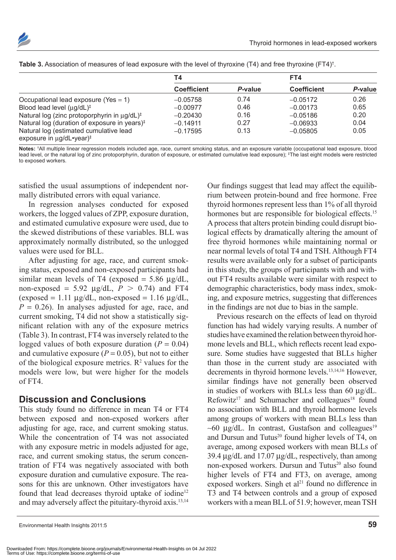

|                                                                                     | Τ4                 |         | FT4                |         |
|-------------------------------------------------------------------------------------|--------------------|---------|--------------------|---------|
|                                                                                     | <b>Coefficient</b> | P-value | <b>Coefficient</b> | P-value |
| Occupational lead exposure (Yes $= 1$ )                                             | $-0.05758$         | 0.74    | $-0.05172$         | 0.26    |
| Blood lead level $(\mu g/dL)^{\ddagger}$                                            | $-0.00977$         | 0.46    | $-0.00173$         | 0.65    |
| Natural log (zinc protoporphyrin in µg/dL) <sup>‡</sup>                             | $-0.20430$         | 0.16    | $-0.05186$         | 0.20    |
| Natural log (duration of exposure in years) <sup>‡</sup>                            | $-0.14911$         | 0.27    | $-0.06933$         | 0.04    |
| Natural log (estimated cumulative lead<br>exposure in $\mu$ g/dL•year) <sup>‡</sup> | $-0.17595$         | 0.13    | $-0.05805$         | 0.05    |

**Table 3.** Association of measures of lead exposure with the level of thyroxine (T4) and free thyroxine (FT4)† .

**Notes:** † All multiple linear regression models included age, race, current smoking status, and an exposure variable (occupational lead exposure, blood lead level, or the natural log of zinc protoporphyrin, duration of exposure, or estimated cumulative lead exposure); ‡ The last eight models were restricted to exposed workers.

satisfied the usual assumptions of independent normally distributed errors with equal variance.

In regression analyses conducted for exposed workers, the logged values of ZPP, exposure duration, and estimated cumulative exposure were used, due to the skewed distributions of these variables. BLL was approximately normally distributed, so the unlogged values were used for BLL.

After adjusting for age, race, and current smoking status, exposed and non-exposed participants had similar mean levels of T4 (exposed =  $5.86 \mu g/dL$ , non-exposed = 5.92  $\mu$ g/dL,  $P > 0.74$ ) and FT4  $(exposed = 1.11 \mu g/dL, non-exposed = 1.16 \mu g/dL,$  $P = 0.26$ ). In analyses adjusted for age, race, and current smoking, T4 did not show a statistically significant relation with any of the exposure metrics (Table 3). In contrast, FT4 was inversely related to the logged values of both exposure duration  $(P = 0.04)$ and cumulative exposure  $(P = 0.05)$ , but not to either of the biological exposure metrics.  $R^2$  values for the models were low, but were higher for the models of FT4.

### **Discussion and Conclusions**

This study found no difference in mean T4 or FT4 between exposed and non-exposed workers after adjusting for age, race, and current smoking status. While the concentration of T4 was not associated with any exposure metric in models adjusted for age, race, and current smoking status, the serum concentration of FT4 was negatively associated with both exposure duration and cumulative exposure. The reasons for this are unknown. Other investigators have found that lead decreases thyroid uptake of iodine<sup>12</sup> and may adversely affect the pituitary-thyroid axis.13,14

Our findings suggest that lead may affect the equilibrium between protein-bound and free hormone. Free thyroid hormones represent less than 1% of all thyroid hormones but are responsible for biological effects.<sup>15</sup> A process that alters protein binding could disrupt biological effects by dramatically altering the amount of free thyroid hormones while maintaining normal or near normal levels of total T4 and TSH. Although FT4 results were available only for a subset of participants in this study, the groups of participants with and without FT4 results available were similar with respect to demographic characteristics, body mass index, smoking, and exposure metrics, suggesting that differences in the findings are not due to bias in the sample.

Previous research on the effects of lead on thyroid function has had widely varying results. A number of studies have examined the relation between thyroid hormone levels and BLL, which reflects recent lead exposure. Some studies have suggested that BLLs higher than those in the current study are associated with decrements in thyroid hormone levels.<sup>13,14,16</sup> However, similar findings have not generally been observed in studies of workers with BLLs less than 60 µg/dL. Refowitz<sup>17</sup> and Schumacher and colleagues<sup>18</sup> found no association with BLL and thyroid hormone levels among groups of workers with mean BLLs less than  $~\sim 60$  µg/dL. In contrast, Gustafson and colleagues<sup>19</sup> and Dursun and Tutus<sup>20</sup> found higher levels of T4, on average, among exposed workers with mean BLLs of 39.4 µg/dL and 17.07 µg/dL, respectively, than among non-exposed workers. Dursun and Tutus<sup>20</sup> also found higher levels of FT4 and FT3, on average, among exposed workers. Singh et  $al<sup>21</sup>$  found no difference in T3 and T4 between controls and a group of exposed workers with a mean BLL of 51.9; however, mean TSH

Environmental Health Insights 2011:5 **59**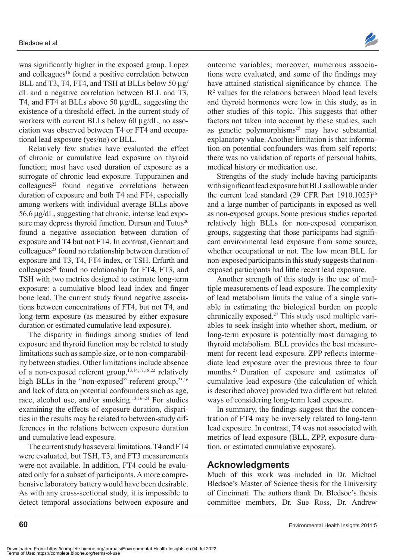

was significantly higher in the exposed group. Lopez and colleagues<sup>16</sup> found a positive correlation between BLL and T3, T4, FT4, and TSH at BLLs below 50  $\mu$ g/ dL and a negative correlation between BLL and T3, T4, and FT4 at BLLs above 50 µg/dL, suggesting the existence of a threshold effect. In the current study of workers with current BLLs below 60 µg/dL, no association was observed between T4 or FT4 and occupational lead exposure (yes/no) or BLL.

Relatively few studies have evaluated the effect of chronic or cumulative lead exposure on thyroid function; most have used duration of exposure as a surrogate of chronic lead exposure. Tuppurainen and  $\text{colle}$ agues<sup>22</sup> found negative correlations between duration of exposure and both T4 and FT4, especially among workers with individual average BLLs above 56.6 µg/dL, suggesting that chronic, intense lead exposure may depress thyroid function. Dursun and Tutus<sup>20</sup> found a negative association between duration of exposure and T4 but not FT4. In contrast, Gennart and colleagues<sup>23</sup> found no relationship between duration of exposure and T3, T4, FT4 index, or TSH. Erfurth and  $\text{colleagues}^{24}$  found no relationship for FT4, FT3, and TSH with two metrics designed to estimate long-term exposure: a cumulative blood lead index and finger bone lead. The current study found negative associations between concentrations of FT4, but not T4, and long-term exposure (as measured by either exposure duration or estimated cumulative lead exposure).

The disparity in findings among studies of lead exposure and thyroid function may be related to study limitations such as sample size, or to non-comparability between studies. Other limitations include absence of a non-exposed referent group,  $13,14,17,18,22$  relatively high BLLs in the "non-exposed" referent group, $^{23,16}$ and lack of data on potential confounders such as age, race, alcohol use, and/or smoking.13,16–24 For studies examining the effects of exposure duration, disparities in the results may be related to between-study differences in the relations between exposure duration and cumulative lead exposure.

The current study has several limitations. T4 and FT4 were evaluated, but TSH, T3, and FT3 measurements were not available. In addition, FT4 could be evaluated only for a subset of participants. A more comprehensive laboratory battery would have been desirable. As with any cross-sectional study, it is impossible to detect temporal associations between exposure and outcome variables; moreover, numerous associations were evaluated, and some of the findings may have attained statistical significance by chance. The R2 values for the relations between blood lead levels and thyroid hormones were low in this study, as in other studies of this topic. This suggests that other factors not taken into account by these studies, such as genetic polymorphisms<sup>25</sup> may have substantial explanatory value. Another limitation is that information on potential confounders was from self reports; there was no validation of reports of personal habits, medical history or medication use.

Strengths of the study include having participants with significant lead exposure but BLLs allowable under the current lead standard (29 CFR Part  $1910.1025$ )<sup>26</sup> and a large number of participants in exposed as well as non-exposed groups. Some previous studies reported relatively high BLLs for non-exposed comparison groups, suggesting that those participants had significant environmental lead exposure from some source, whether occupational or not. The low mean BLL for non-exposed participants in this study suggests that nonexposed participants had little recent lead exposure.

Another strength of this study is the use of multiple measurements of lead exposure. The complexity of lead metabolism limits the value of a single variable in estimating the biological burden on people chronically exposed.27 This study used multiple variables to seek insight into whether short, medium, or long-term exposure is potentially most damaging to thyroid metabolism. BLL provides the best measurement for recent lead exposure. ZPP reflects intermediate lead exposure over the previous three to four months.27 Duration of exposure and estimates of cumulative lead exposure (the calculation of which is described above) provided two different but related ways of considering long-term lead exposure.

In summary, the findings suggest that the concentration of FT4 may be inversely related to long-term lead exposure. In contrast, T4 was not associated with metrics of lead exposure (BLL, ZPP, exposure duration, or estimated cumulative exposure).

### **Acknowledgments**

Much of this work was included in Dr. Michael Bledsoe's Master of Science thesis for the University of Cincinnati. The authors thank Dr. Bledsoe's thesis committee members, Dr. Sue Ross, Dr. Andrew